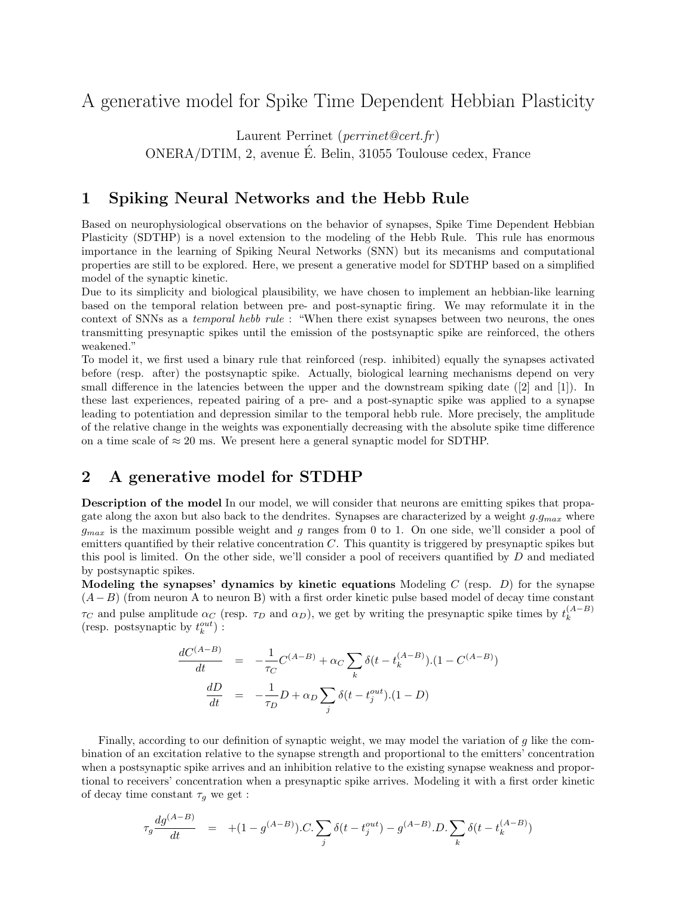# A generative model for Spike Time Dependent Hebbian Plasticity

Laurent Perrinet (perrinet@cert.fr)

ONERA/DTIM, 2, avenue E. Belin, 31055 Toulouse cedex, France ´

## 1 Spiking Neural Networks and the Hebb Rule

Based on neurophysiological observations on the behavior of synapses, Spike Time Dependent Hebbian Plasticity (SDTHP) is a novel extension to the modeling of the Hebb Rule. This rule has enormous importance in the learning of Spiking Neural Networks (SNN) but its mecanisms and computational properties are still to be explored. Here, we present a generative model for SDTHP based on a simplified model of the synaptic kinetic.

Due to its simplicity and biological plausibility, we have chosen to implement an hebbian-like learning based on the temporal relation between pre- and post-synaptic firing. We may reformulate it in the context of SNNs as a temporal hebb rule : "When there exist synapses between two neurons, the ones transmitting presynaptic spikes until the emission of the postsynaptic spike are reinforced, the others weakened."

To model it, we first used a binary rule that reinforced (resp. inhibited) equally the synapses activated before (resp. after) the postsynaptic spike. Actually, biological learning mechanisms depend on very small difference in the latencies between the upper and the downstream spiking date ([2] and [1]). In these last experiences, repeated pairing of a pre- and a post-synaptic spike was applied to a synapse leading to potentiation and depression similar to the temporal hebb rule. More precisely, the amplitude of the relative change in the weights was exponentially decreasing with the absolute spike time difference on a time scale of  $\approx 20$  ms. We present here a general synaptic model for SDTHP.

## 2 A generative model for STDHP

Description of the model In our model, we will consider that neurons are emitting spikes that propagate along the axon but also back to the dendrites. Synapses are characterized by a weight  $g.g_{max}$  where  $g_{max}$  is the maximum possible weight and g ranges from 0 to 1. On one side, we'll consider a pool of emitters quantified by their relative concentration  $C$ . This quantity is triggered by presynaptic spikes but this pool is limited. On the other side, we'll consider a pool of receivers quantified by D and mediated by postsynaptic spikes.

Modeling the synapses' dynamics by kinetic equations Modeling  $C$  (resp.  $D$ ) for the synapse  $(A-B)$  (from neuron A to neuron B) with a first order kinetic pulse based model of decay time constant  $\tau_C$  and pulse amplitude  $\alpha_C$  (resp.  $\tau_D$  and  $\alpha_D$ ), we get by writing the presynaptic spike times by  $t_k^{(A-B)}$ k (resp. postsynaptic by  $t^{out}_k)$  :

$$
\frac{dC^{(A-B)}}{dt} = -\frac{1}{\tau_C}C^{(A-B)} + \alpha_C \sum_k \delta(t - t_k^{(A-B)}).(1 - C^{(A-B)})
$$

$$
\frac{dD}{dt} = -\frac{1}{\tau_D}D + \alpha_D \sum_j \delta(t - t_j^{out}).(1 - D)
$$

Finally, according to our definition of synaptic weight, we may model the variation of  $g$  like the combination of an excitation relative to the synapse strength and proportional to the emitters' concentration when a postsynaptic spike arrives and an inhibition relative to the existing synapse weakness and proportional to receivers' concentration when a presynaptic spike arrives. Modeling it with a first order kinetic of decay time constant  $\tau_g$  we get :

$$
\tau_g \frac{d g^{(A-B)}}{dt} = +(1-g^{(A-B)}).C. \sum_j \delta(t-t_j^{out}) - g^{(A-B)}.D. \sum_k \delta(t-t_k^{(A-B)})
$$